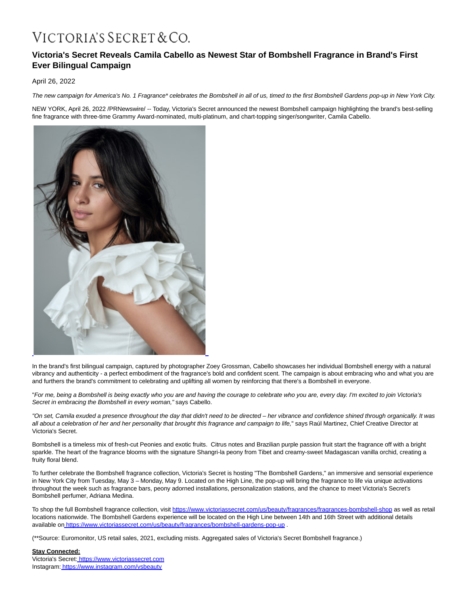# VICTORIA'S SECRET & CO.

# **Victoria's Secret Reveals Camila Cabello as Newest Star of Bombshell Fragrance in Brand's First Ever Bilingual Campaign**

April 26, 2022

The new campaign for America's No. 1 Fragrance\* celebrates the Bombshell in all of us, timed to the first Bombshell Gardens pop-up in New York City.

NEW YORK, April 26, 2022 /PRNewswire/ -- Today, Victoria's Secret announced the newest Bombshell campaign highlighting the brand's best-selling fine fragrance with three-time Grammy Award-nominated, multi-platinum, and chart-topping singer/songwriter, Camila Cabello.



In the brand's first bilingual campaign, captured by photographer Zoey Grossman, Cabello showcases her individual Bombshell energy with a natural vibrancy and authenticity - a perfect embodiment of the fragrance's bold and confident scent. The campaign is about embracing who and what you are and furthers the brand's commitment to celebrating and uplifting all women by reinforcing that there's a Bombshell in everyone.

"For me, being a Bombshell is being exactly who you are and having the courage to celebrate who you are, every day. I'm excited to join Victoria's Secret in embracing the Bombshell in every woman," says Cabello.

"On set, Camila exuded a presence throughout the day that didn't need to be directed – her vibrance and confidence shined through organically. It was all about a celebration of her and her personality that brought this fragrance and campaign to life," says Raúl Martinez, Chief Creative Director at Victoria's Secret.

Bombshell is a timeless mix of fresh-cut Peonies and exotic fruits. Citrus notes and Brazilian purple passion fruit start the fragrance off with a bright sparkle. The heart of the fragrance blooms with the signature Shangri-la peony from Tibet and creamy-sweet Madagascan vanilla orchid, creating a fruity floral blend.

To further celebrate the Bombshell fragrance collection, Victoria's Secret is hosting "The Bombshell Gardens," an immersive and sensorial experience in New York City from Tuesday, May 3 – Monday, May 9. Located on the High Line, the pop-up will bring the fragrance to life via unique activations throughout the week such as fragrance bars, peony adorned installations, personalization stations, and the chance to meet Victoria's Secret's Bombshell perfumer, Adriana Medina.

To shop the full Bombshell fragrance collection, visit [https://www.victoriassecret.com/us/beauty/fragrances/fragrances-bombshell-shop a](https://c212.net/c/link/?t=0&l=en&o=3515256-1&h=1311875107&u=https%3A%2F%2Fwww.victoriassecret.com%2Fus%2Fbeauty%2Ffragrances%2Ffragrances-bombshell-shop&a=https%3A%2F%2Fwww.victoriassecret.com%2Fus%2Fbeauty%2Ffragrances%2Ffragrances-bombshell-shop)s well as retail locations nationwide. The Bombshell Gardens experience will be located on the High Line between 14th and 16th Street with additional details available on [https://www.victoriassecret.com/us/beauty/fragrances/bombshell-gardens-pop-up .](https://c212.net/c/link/?t=0&l=en&o=3515256-1&h=1400398234&u=https%3A%2F%2Fwww.victoriassecret.com%2Fus%2Fbeauty%2Ffragrances%2Fbombshell-gardens-pop-up&a=https%3A%2F%2Fwww.victoriassecret.com%2Fus%2Fbeauty%2Ffragrances%2Fbombshell-gardens-pop-up)

(\*\*Source: Euromonitor, US retail sales, 2021, excluding mists. Aggregated sales of Victoria's Secret Bombshell fragrance.)

## **Stay Connected:**

Victoria's Secret: [https://www.victoriassecret.com](https://c212.net/c/link/?t=0&l=en&o=3515256-1&h=3767112079&u=https%3A%2F%2Fc212.net%2Fc%2Flink%2F%3Ft%3D0%26l%3Den%26o%3D3199375-1%26h%3D519408731%26u%3Dhttps%253A%252F%252Fwww.victoriassecret.com%252F%26a%3Dhttps%253A%252F%252Fwww.victoriassecret.com&a=https%3A%2F%2Fwww.victoriassecret.com) Instagram: [https://www.instagram.com/vsbeauty](https://c212.net/c/link/?t=0&l=en&o=3515256-1&h=3523545027&u=https%3A%2F%2Fwww.instagram.com%2Fvsbeauty%2F&a=https%3A%2F%2Fwww.instagram.com%2Fvsbeauty)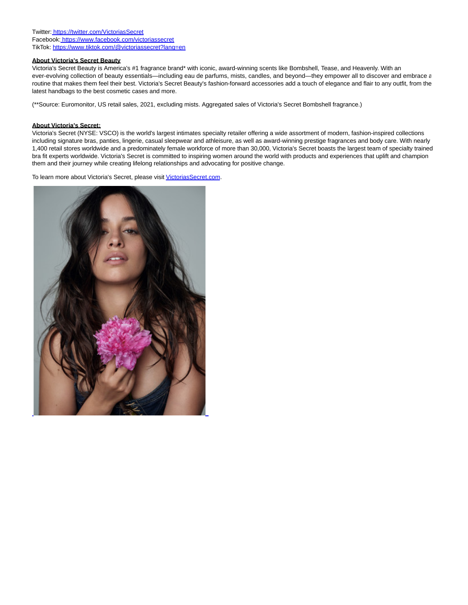Twitter: [https://twitter.com/VictoriasSecret](https://c212.net/c/link/?t=0&l=en&o=3515256-1&h=3211465145&u=https%3A%2F%2Fc212.net%2Fc%2Flink%2F%3Ft%3D0%26l%3Den%26o%3D3199375-1%26h%3D499886014%26u%3Dhttps%253A%252F%252Ftwitter.com%252FVictoriasSecret%26a%3Dhttps%253A%252F%252Ftwitter.com%252FVictoriasSecret&a=https%3A%2F%2Ftwitter.com%2FVictoriasSecret) Facebook: [https://www.facebook.com/victoriassecret](https://c212.net/c/link/?t=0&l=en&o=3515256-1&h=2019743056&u=https%3A%2F%2Fc212.net%2Fc%2Flink%2F%3Ft%3D0%26l%3Den%26o%3D3199375-1%26h%3D3743661670%26u%3Dhttps%253A%252F%252Fwww.facebook.com%252Fvictoriassecret%26a%3Dhttps%253A%252F%252Fwww.facebook.com%252Fvictoriassecret&a=https%3A%2F%2Fwww.facebook.com%2Fvictoriassecret) TikTok[: https://www.tiktok.com/@victoriassecret?lang=en](https://c212.net/c/link/?t=0&l=en&o=3515256-1&h=372370155&u=https%3A%2F%2Fwww.tiktok.com%2F%40victoriassecret%3Flang%3Den&a=https%3A%2F%2Fwww.tiktok.com%2F%40victoriassecret%3Flang%3Den)

### **About Victoria's Secret Beauty**

Victoria's Secret Beauty is America's #1 fragrance brand\* with iconic, award-winning scents like Bombshell, Tease, and Heavenly. With an ever-evolving collection of beauty essentials—including eau de parfums, mists, candles, and beyond—they empower all to discover and embrace  $\varepsilon$ routine that makes them feel their best. Victoria's Secret Beauty's fashion-forward accessories add a touch of elegance and flair to any outfit, from the latest handbags to the best cosmetic cases and more.

(\*\*Source: Euromonitor, US retail sales, 2021, excluding mists. Aggregated sales of Victoria's Secret Bombshell fragrance.)

#### **About Victoria's Secret:**

Victoria's Secret (NYSE: VSCO) is the world's largest intimates specialty retailer offering a wide assortment of modern, fashion-inspired collections including signature bras, panties, lingerie, casual sleepwear and athleisure, as well as award-winning prestige fragrances and body care. With nearly 1,400 retail stores worldwide and a predominately female workforce of more than 30,000, Victoria's Secret boasts the largest team of specialty trained bra fit experts worldwide. Victoria's Secret is committed to inspiring women around the world with products and experiences that uplift and champion them and their journey while creating lifelong relationships and advocating for positive change.

To learn more about Victoria's Secret, please visi[t VictoriasSecret.com.](http://victoriassecret.com/)